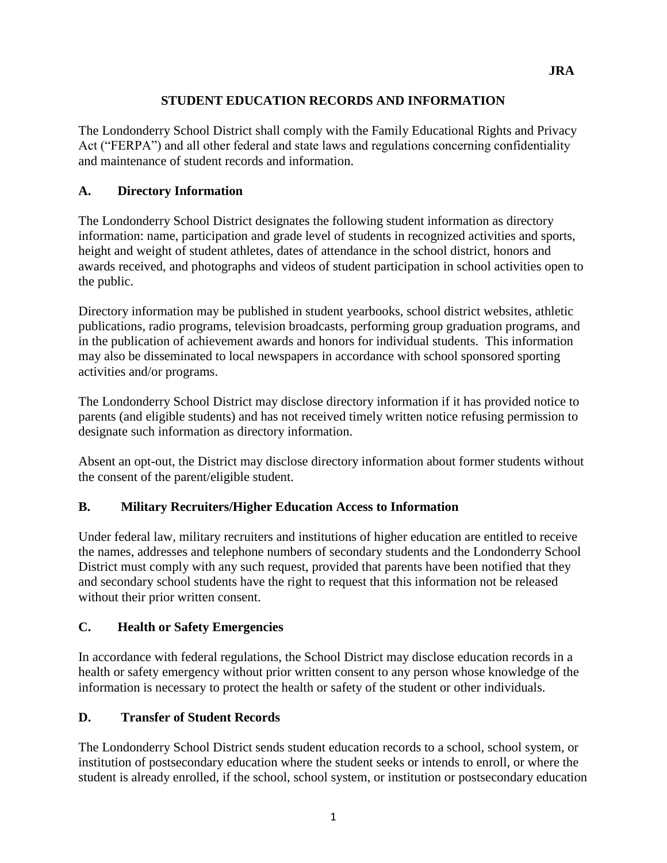## **STUDENT EDUCATION RECORDS AND INFORMATION**

The Londonderry School District shall comply with the Family Educational Rights and Privacy Act ("FERPA") and all other federal and state laws and regulations concerning confidentiality and maintenance of student records and information.

# **A. Directory Information**

The Londonderry School District designates the following student information as directory information: name, participation and grade level of students in recognized activities and sports, height and weight of student athletes, dates of attendance in the school district, honors and awards received, and photographs and videos of student participation in school activities open to the public.

Directory information may be published in student yearbooks, school district websites, athletic publications, radio programs, television broadcasts, performing group graduation programs, and in the publication of achievement awards and honors for individual students. This information may also be disseminated to local newspapers in accordance with school sponsored sporting activities and/or programs.

The Londonderry School District may disclose directory information if it has provided notice to parents (and eligible students) and has not received timely written notice refusing permission to designate such information as directory information.

Absent an opt-out, the District may disclose directory information about former students without the consent of the parent/eligible student.

#### **B. Military Recruiters/Higher Education Access to Information**

Under federal law, military recruiters and institutions of higher education are entitled to receive the names, addresses and telephone numbers of secondary students and the Londonderry School District must comply with any such request, provided that parents have been notified that they and secondary school students have the right to request that this information not be released without their prior written consent.

#### **C. Health or Safety Emergencies**

In accordance with federal regulations, the School District may disclose education records in a health or safety emergency without prior written consent to any person whose knowledge of the information is necessary to protect the health or safety of the student or other individuals.

#### **D. Transfer of Student Records**

The Londonderry School District sends student education records to a school, school system, or institution of postsecondary education where the student seeks or intends to enroll, or where the student is already enrolled, if the school, school system, or institution or postsecondary education